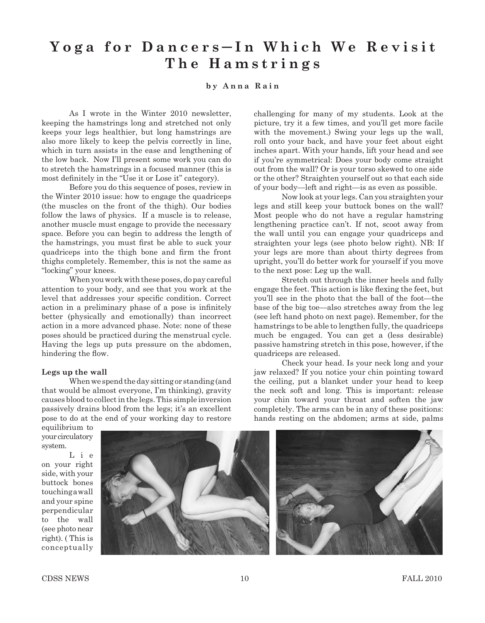## **Yoga for Dancers** ─ **I n W h i c h W e R e v i s i t The Hamstrings**

## **by Anna Rain**

As I wrote in the Winter 2010 newsletter, keeping the hamstrings long and stretched not only keeps your legs healthier, but long hamstrings are also more likely to keep the pelvis correctly in line, which in turn assists in the ease and lengthening of the low back. Now I'll present some work you can do to stretch the hamstrings in a focused manner (this is most definitely in the "Use it or Lose it" category).

Before you do this sequence of poses, review in the Winter 2010 issue: how to engage the quadriceps (the muscles on the front of the thigh). Our bodies follow the laws of physics. If a muscle is to release, another muscle must engage to provide the necessary space. Before you can begin to address the length of the hamstrings, you must first be able to suck your quadriceps into the thigh bone and firm the front thighs completely. Remember, this is not the same as "locking" your knees.

When you work with these poses, do pay careful attention to your body, and see that you work at the level that addresses your specific condition. Correct action in a preliminary phase of a pose is infinitely better (physically and emotionally) than incorrect action in a more advanced phase. Note: none of these poses should be practiced during the menstrual cycle. Having the legs up puts pressure on the abdomen, hindering the flow.

## **Legs up the wall**

When we spend the day sitting or standing (and that would be almost everyone, I'm thinking), gravity causes blood to collect in the legs. This simple inversion passively drains blood from the legs; it's an excellent pose to do at the end of your working day to restore challenging for many of my students. Look at the picture, try it a few times, and you'll get more facile with the movement.) Swing your legs up the wall, roll onto your back, and have your feet about eight inches apart. With your hands, lift your head and see if you're symmetrical: Does your body come straight out from the wall? Or is your torso skewed to one side or the other? Straighten yourself out so that each side of your body—left and right—is as even as possible.

Now look at your legs. Can you straighten your legs and still keep your buttock bones on the wall? Most people who do not have a regular hamstring lengthening practice can't. If not, scoot away from the wall until you can engage your quadriceps and straighten your legs (see photo below right). NB: If your legs are more than about thirty degrees from upright, you'll do better work for yourself if you move to the next pose: Leg up the wall.

Stretch out through the inner heels and fully engage the feet. This action is like flexing the feet, but you'll see in the photo that the ball of the foot—the base of the big toe—also stretches away from the leg (see left hand photo on next page). Remember, for the hamstrings to be able to lengthen fully, the quadriceps much be engaged. You can get a (less desirable) passive hamstring stretch in this pose, however, if the quadriceps are released.

Check your head. Is your neck long and your jaw relaxed? If you notice your chin pointing toward the ceiling, put a blanket under your head to keep the neck soft and long. This is important: release your chin toward your throat and soften the jaw completely. The arms can be in any of these positions: hands resting on the abdomen; arms at side, palms

equilibrium to your circulatory system.

L i e on your right side, with your buttock bones touching a wall and your spine perpendicular to the wall (see photo near right). ( This is conceptually